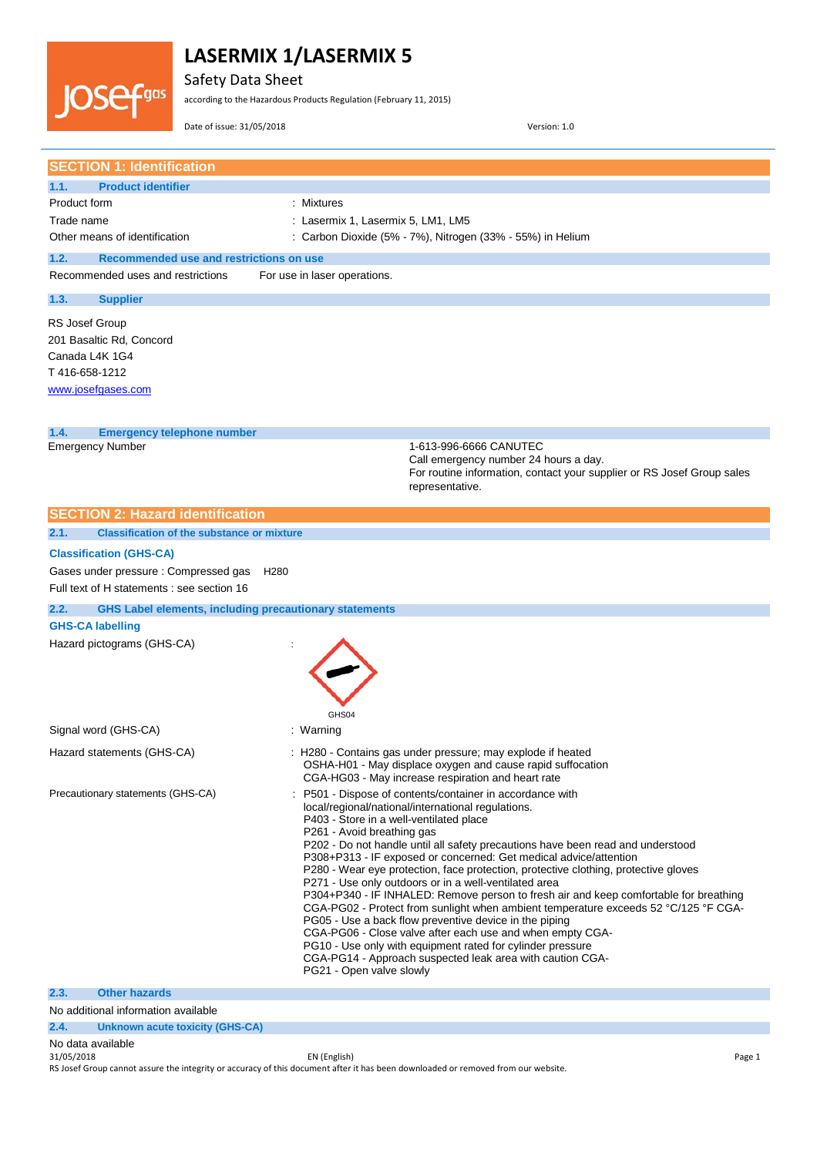

Safety Data Sheet

according to the Hazardous Products Regulation (February 11, 2015)

Date of issue: 31/05/2018 Version: 1.0

| <b>SECTION 1: Identification</b>                                                                       |                                                                                                                                                                                                                                                                                                                                                                                                                                                                                                                                                                                                                                                                                                                                                                                                                                             |
|--------------------------------------------------------------------------------------------------------|---------------------------------------------------------------------------------------------------------------------------------------------------------------------------------------------------------------------------------------------------------------------------------------------------------------------------------------------------------------------------------------------------------------------------------------------------------------------------------------------------------------------------------------------------------------------------------------------------------------------------------------------------------------------------------------------------------------------------------------------------------------------------------------------------------------------------------------------|
| 1.1.<br><b>Product identifier</b>                                                                      |                                                                                                                                                                                                                                                                                                                                                                                                                                                                                                                                                                                                                                                                                                                                                                                                                                             |
| Product form                                                                                           | : Mixtures                                                                                                                                                                                                                                                                                                                                                                                                                                                                                                                                                                                                                                                                                                                                                                                                                                  |
| Trade name<br>Other means of identification                                                            | : Lasermix 1, Lasermix 5, LM1, LM5                                                                                                                                                                                                                                                                                                                                                                                                                                                                                                                                                                                                                                                                                                                                                                                                          |
|                                                                                                        | : Carbon Dioxide (5% - 7%), Nitrogen (33% - 55%) in Helium                                                                                                                                                                                                                                                                                                                                                                                                                                                                                                                                                                                                                                                                                                                                                                                  |
| Recommended use and restrictions on use<br>1.2.<br>Recommended uses and restrictions                   | For use in laser operations.                                                                                                                                                                                                                                                                                                                                                                                                                                                                                                                                                                                                                                                                                                                                                                                                                |
|                                                                                                        |                                                                                                                                                                                                                                                                                                                                                                                                                                                                                                                                                                                                                                                                                                                                                                                                                                             |
| 1.3.<br><b>Supplier</b>                                                                                |                                                                                                                                                                                                                                                                                                                                                                                                                                                                                                                                                                                                                                                                                                                                                                                                                                             |
| RS Josef Group<br>201 Basaltic Rd, Concord<br>Canada L4K 1G4<br>T416-658-1212<br>www.josefgases.com    |                                                                                                                                                                                                                                                                                                                                                                                                                                                                                                                                                                                                                                                                                                                                                                                                                                             |
| 1.4.<br><b>Emergency telephone number</b>                                                              |                                                                                                                                                                                                                                                                                                                                                                                                                                                                                                                                                                                                                                                                                                                                                                                                                                             |
| <b>Emergency Number</b>                                                                                | 1-613-996-6666 CANUTEC<br>Call emergency number 24 hours a day.<br>For routine information, contact your supplier or RS Josef Group sales<br>representative.                                                                                                                                                                                                                                                                                                                                                                                                                                                                                                                                                                                                                                                                                |
| <b>SECTION 2: Hazard identification</b>                                                                |                                                                                                                                                                                                                                                                                                                                                                                                                                                                                                                                                                                                                                                                                                                                                                                                                                             |
| 2.1.<br><b>Classification of the substance or mixture</b>                                              |                                                                                                                                                                                                                                                                                                                                                                                                                                                                                                                                                                                                                                                                                                                                                                                                                                             |
| <b>Classification (GHS-CA)</b>                                                                         |                                                                                                                                                                                                                                                                                                                                                                                                                                                                                                                                                                                                                                                                                                                                                                                                                                             |
| Gases under pressure: Compressed gas<br>H <sub>280</sub><br>Full text of H statements : see section 16 |                                                                                                                                                                                                                                                                                                                                                                                                                                                                                                                                                                                                                                                                                                                                                                                                                                             |
|                                                                                                        |                                                                                                                                                                                                                                                                                                                                                                                                                                                                                                                                                                                                                                                                                                                                                                                                                                             |
| 2.2.<br><b>GHS Label elements, including precautionary statements</b><br><b>GHS-CA labelling</b>       |                                                                                                                                                                                                                                                                                                                                                                                                                                                                                                                                                                                                                                                                                                                                                                                                                                             |
| Hazard pictograms (GHS-CA)                                                                             |                                                                                                                                                                                                                                                                                                                                                                                                                                                                                                                                                                                                                                                                                                                                                                                                                                             |
| Signal word (GHS-CA)                                                                                   | GHS04<br>: Warning                                                                                                                                                                                                                                                                                                                                                                                                                                                                                                                                                                                                                                                                                                                                                                                                                          |
|                                                                                                        |                                                                                                                                                                                                                                                                                                                                                                                                                                                                                                                                                                                                                                                                                                                                                                                                                                             |
| Hazard statements (GHS-CA)                                                                             | : H280 - Contains gas under pressure; may explode if heated<br>OSHA-H01 - May displace oxygen and cause rapid suffocation<br>CGA-HG03 - May increase respiration and heart rate                                                                                                                                                                                                                                                                                                                                                                                                                                                                                                                                                                                                                                                             |
| Precautionary statements (GHS-CA)                                                                      | P501 - Dispose of contents/container in accordance with<br>local/regional/national/international regulations.                                                                                                                                                                                                                                                                                                                                                                                                                                                                                                                                                                                                                                                                                                                               |
|                                                                                                        | P403 - Store in a well-ventilated place<br>P261 - Avoid breathing gas<br>P202 - Do not handle until all safety precautions have been read and understood<br>P308+P313 - IF exposed or concerned: Get medical advice/attention<br>P280 - Wear eye protection, face protection, protective clothing, protective gloves<br>P271 - Use only outdoors or in a well-ventilated area<br>P304+P340 - IF INHALED: Remove person to fresh air and keep comfortable for breathing<br>CGA-PG02 - Protect from sunlight when ambient temperature exceeds 52 °C/125 °F CGA-<br>PG05 - Use a back flow preventive device in the piping<br>CGA-PG06 - Close valve after each use and when empty CGA-<br>PG10 - Use only with equipment rated for cylinder pressure<br>CGA-PG14 - Approach suspected leak area with caution CGA-<br>PG21 - Open valve slowly |
| 2.3.<br><b>Other hazards</b>                                                                           |                                                                                                                                                                                                                                                                                                                                                                                                                                                                                                                                                                                                                                                                                                                                                                                                                                             |
| No additional information available<br>2.4.<br><b>Unknown acute toxicity (GHS-CA)</b>                  |                                                                                                                                                                                                                                                                                                                                                                                                                                                                                                                                                                                                                                                                                                                                                                                                                                             |

No data available

31/05/2018 EN (English) Page 1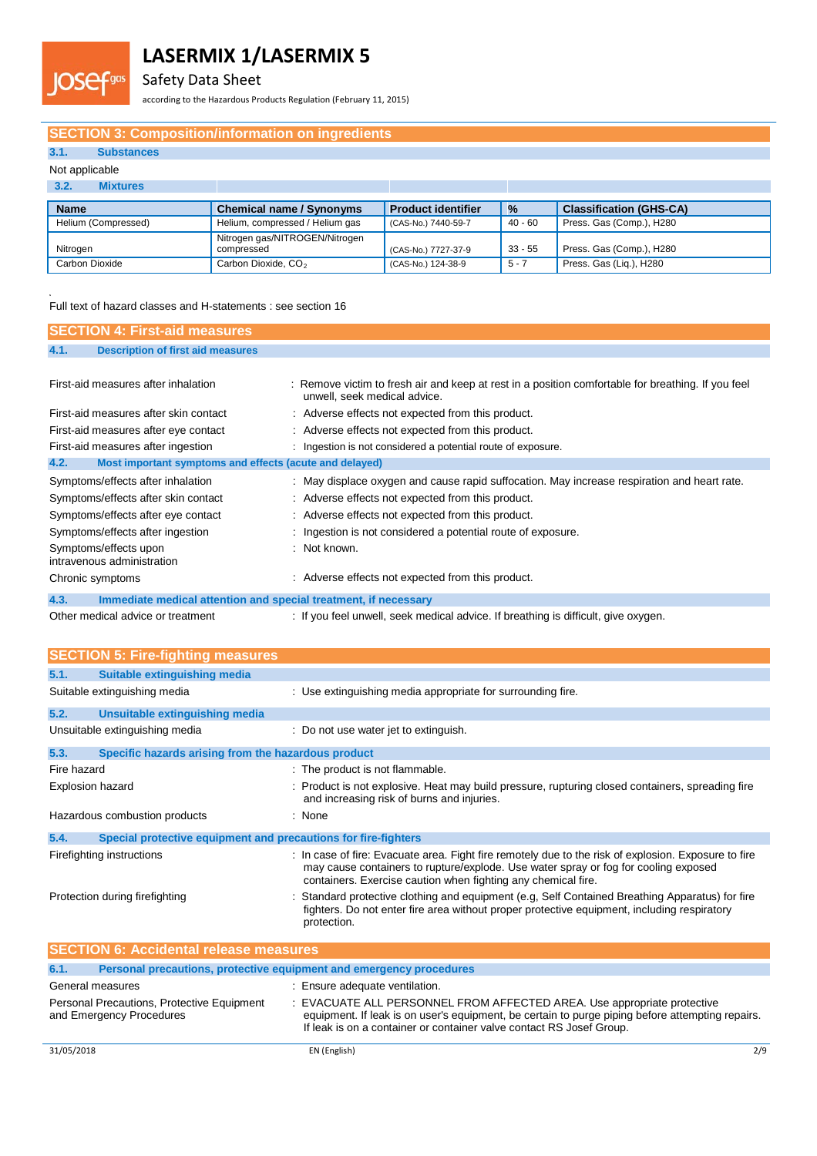

Safety Data Sheet

according to the Hazardous Products Regulation (February 11, 2015)

### **SECTION 3: Composition/information on ingredients**

### **3.1. Substances**

Fgas

### Not applicable

| 3.2.<br><b>Mixtures</b> |                                              |                           |               |                                |
|-------------------------|----------------------------------------------|---------------------------|---------------|--------------------------------|
| <b>Name</b>             | <b>Chemical name / Synonyms</b>              | <b>Product identifier</b> | $\frac{9}{6}$ | <b>Classification (GHS-CA)</b> |
| Helium (Compressed)     | Helium, compressed / Helium gas              | (CAS-No.) 7440-59-7       | 40 - 60       | Press. Gas (Comp.), H280       |
| Nitrogen                | Nitrogen gas/NITROGEN/Nitrogen<br>compressed | (CAS-No.) 7727-37-9       | $33 - 55$     | Press. Gas (Comp.), H280       |
| Carbon Dioxide          | Carbon Dioxide, CO <sub>2</sub>              | (CAS-No.) 124-38-9        | 5 - 7         | Press. Gas (Lig.), H280        |

.<br>Full text of hazard classes and H-statements : see section 16

| <b>SECTION 4: First-aid measures</b>                                    |                                                                                                                                    |
|-------------------------------------------------------------------------|------------------------------------------------------------------------------------------------------------------------------------|
| <b>Description of first aid measures</b><br>4.1.                        |                                                                                                                                    |
|                                                                         |                                                                                                                                    |
| First-aid measures after inhalation                                     | : Remove victim to fresh air and keep at rest in a position comfortable for breathing. If you feel<br>unwell, seek medical advice. |
| First-aid measures after skin contact                                   | : Adverse effects not expected from this product.                                                                                  |
| First-aid measures after eye contact                                    | : Adverse effects not expected from this product.                                                                                  |
| First-aid measures after ingestion                                      | : Ingestion is not considered a potential route of exposure.                                                                       |
| 4.2.<br>Most important symptoms and effects (acute and delayed)         |                                                                                                                                    |
| Symptoms/effects after inhalation                                       | : May displace oxygen and cause rapid suffocation. May increase respiration and heart rate.                                        |
| Symptoms/effects after skin contact                                     | : Adverse effects not expected from this product.                                                                                  |
| Symptoms/effects after eye contact                                      | : Adverse effects not expected from this product.                                                                                  |
| Symptoms/effects after ingestion                                        | : Ingestion is not considered a potential route of exposure.                                                                       |
| Symptoms/effects upon<br>intravenous administration                     | $\therefore$ Not known.                                                                                                            |
| Chronic symptoms                                                        | : Adverse effects not expected from this product.                                                                                  |
| 4.3.<br>Immediate medical attention and special treatment, if necessary |                                                                                                                                    |

Other medical advice or treatment : If you feel unwell, seek medical advice. If breathing is difficult, give oxygen.

|                         | <b>SECTION 5: Fire-fighting measures</b>                               |                                                                                                                                                                                                                                                              |
|-------------------------|------------------------------------------------------------------------|--------------------------------------------------------------------------------------------------------------------------------------------------------------------------------------------------------------------------------------------------------------|
| 5.1.                    | Suitable extinguishing media                                           |                                                                                                                                                                                                                                                              |
|                         | Suitable extinguishing media                                           | : Use extinguishing media appropriate for surrounding fire.                                                                                                                                                                                                  |
| 5.2.                    | Unsuitable extinguishing media                                         |                                                                                                                                                                                                                                                              |
|                         | Unsuitable extinguishing media                                         | : Do not use water jet to extinguish.                                                                                                                                                                                                                        |
| 5.3.                    | Specific hazards arising from the hazardous product                    |                                                                                                                                                                                                                                                              |
| Fire hazard             |                                                                        | : The product is not flammable.                                                                                                                                                                                                                              |
| <b>Explosion hazard</b> |                                                                        | : Product is not explosive. Heat may build pressure, rupturing closed containers, spreading fire<br>and increasing risk of burns and injuries.                                                                                                               |
|                         | Hazardous combustion products                                          | : None                                                                                                                                                                                                                                                       |
| 5.4.                    | Special protective equipment and precautions for fire-fighters         |                                                                                                                                                                                                                                                              |
|                         | Firefighting instructions                                              | : In case of fire: Evacuate area. Fight fire remotely due to the risk of explosion. Exposure to fire<br>may cause containers to rupture/explode. Use water spray or fog for cooling exposed<br>containers. Exercise caution when fighting any chemical fire. |
|                         | Protection during firefighting                                         | Standard protective clothing and equipment (e.g. Self Contained Breathing Apparatus) for fire<br>fighters. Do not enter fire area without proper protective equipment, including respiratory<br>protection.                                                  |
|                         | <b>SECTION 6: Accidental release measures</b>                          |                                                                                                                                                                                                                                                              |
| 6.1.                    |                                                                        | Personal precautions, protective equipment and emergency procedures                                                                                                                                                                                          |
|                         | General measures                                                       | : Ensure adequate ventilation.                                                                                                                                                                                                                               |
|                         | Personal Precautions, Protective Equipment<br>and Emergency Procedures | EVACUATE ALL PERSONNEL FROM AFFECTED AREA. Use appropriate protective<br>equipment. If leak is on user's equipment, be certain to purge piping before attempting repairs.<br>If leak is on a container or container valve contact RS Josef Group.            |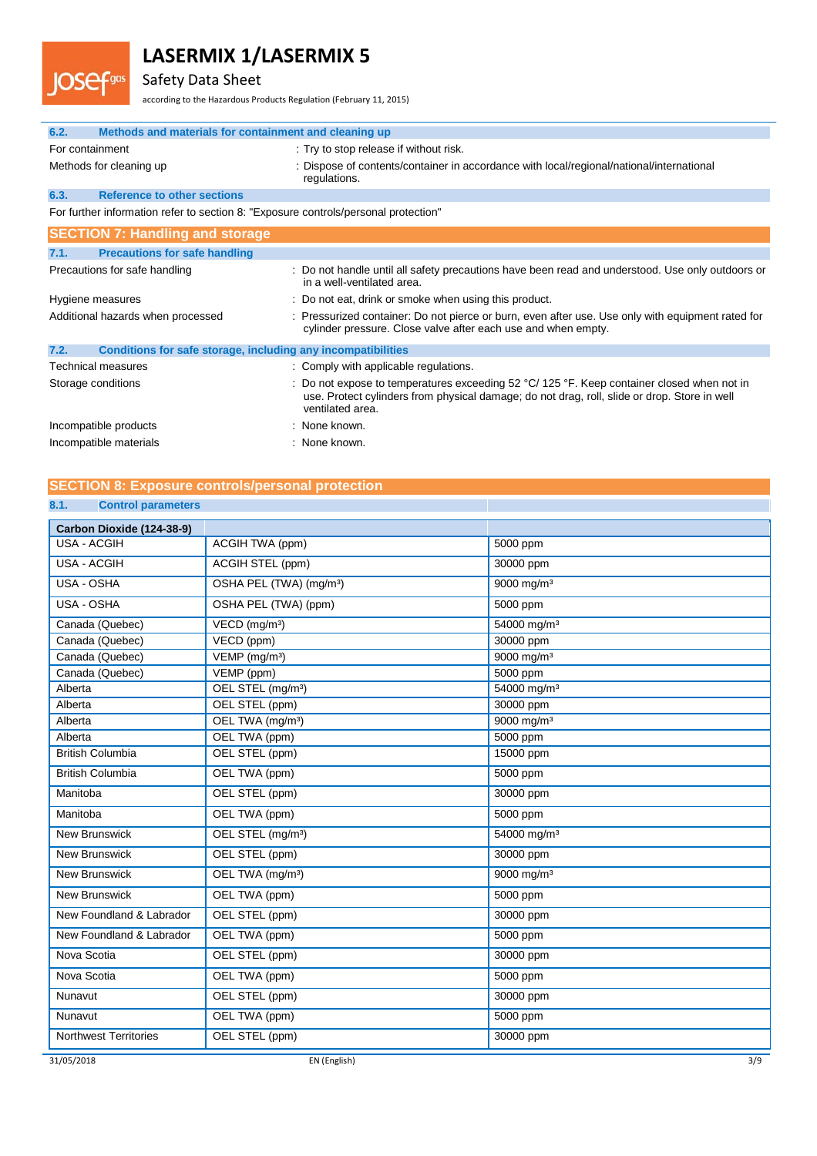Safety Data Sheet

**OSefgas** 

according to the Hazardous Products Regulation (February 11, 2015)

| 6.2.<br>Methods and materials for containment and cleaning up                       |                                                                                                                                                                                                              |
|-------------------------------------------------------------------------------------|--------------------------------------------------------------------------------------------------------------------------------------------------------------------------------------------------------------|
| For containment                                                                     | : Try to stop release if without risk.                                                                                                                                                                       |
| Methods for cleaning up                                                             | : Dispose of contents/container in accordance with local/regional/national/international<br>regulations.                                                                                                     |
| 6.3.<br><b>Reference to other sections</b>                                          |                                                                                                                                                                                                              |
| For further information refer to section 8: "Exposure controls/personal protection" |                                                                                                                                                                                                              |
| <b>SECTION 7: Handling and storage</b>                                              |                                                                                                                                                                                                              |
| <b>Precautions for safe handling</b><br>7.1.                                        |                                                                                                                                                                                                              |
| Precautions for safe handling                                                       | : Do not handle until all safety precautions have been read and understood. Use only outdoors or<br>in a well-ventilated area.                                                                               |
| Hygiene measures                                                                    | : Do not eat, drink or smoke when using this product.                                                                                                                                                        |
| Additional hazards when processed                                                   | : Pressurized container: Do not pierce or burn, even after use. Use only with equipment rated for<br>cylinder pressure. Close valve after each use and when empty.                                           |
| Conditions for safe storage, including any incompatibilities<br>7.2.                |                                                                                                                                                                                                              |
| Technical measures                                                                  | : Comply with applicable regulations.                                                                                                                                                                        |
| Storage conditions                                                                  | Do not expose to temperatures exceeding 52 °C/ 125 °F. Keep container closed when not in<br>use. Protect cylinders from physical damage; do not drag, roll, slide or drop. Store in well<br>ventilated area. |
| Incompatible products                                                               | : None known.                                                                                                                                                                                                |
| Incompatible materials                                                              | : None known.                                                                                                                                                                                                |

### **SECTION 8: Exposure controls/personal protection**

### **8.1. Control parameters**

| Carbon Dioxide (124-38-9)    |                                     |                         |
|------------------------------|-------------------------------------|-------------------------|
| <b>USA - ACGIH</b>           | ACGIH TWA (ppm)                     | 5000 ppm                |
| <b>USA - ACGIH</b>           | ACGIH STEL (ppm)                    | 30000 ppm               |
| USA - OSHA                   | OSHA PEL (TWA) (mg/m <sup>3</sup> ) | 9000 mg/m <sup>3</sup>  |
| USA - OSHA                   | OSHA PEL (TWA) (ppm)                | 5000 ppm                |
| Canada (Quebec)              | VECD (mg/m <sup>3</sup> )           | 54000 mg/m <sup>3</sup> |
| Canada (Quebec)              | VECD (ppm)                          | 30000 ppm               |
| Canada (Quebec)              | $VEMP$ (mg/m <sup>3</sup> )         | 9000 mg/m <sup>3</sup>  |
| Canada (Quebec)              | VEMP (ppm)                          | 5000 ppm                |
| Alberta                      | OEL STEL (mg/m <sup>3</sup> )       | 54000 mg/m <sup>3</sup> |
| Alberta                      | OEL STEL (ppm)                      | 30000 ppm               |
| Alberta                      | OEL TWA (mg/m <sup>3</sup> )        | 9000 mg/m <sup>3</sup>  |
| Alberta                      | OEL TWA (ppm)                       | 5000 ppm                |
| <b>British Columbia</b>      | OEL STEL (ppm)                      | 15000 ppm               |
| <b>British Columbia</b>      | OEL TWA (ppm)                       | 5000 ppm                |
| Manitoba                     | OEL STEL (ppm)                      | 30000 ppm               |
| Manitoba                     | OEL TWA (ppm)                       | 5000 ppm                |
| <b>New Brunswick</b>         | OEL STEL (mg/m <sup>3</sup> )       | 54000 mg/m <sup>3</sup> |
| <b>New Brunswick</b>         | OEL STEL (ppm)                      | 30000 ppm               |
| <b>New Brunswick</b>         | OEL TWA (mg/m <sup>3</sup> )        | 9000 mg/m <sup>3</sup>  |
| <b>New Brunswick</b>         | OEL TWA (ppm)                       | 5000 ppm                |
| New Foundland & Labrador     | OEL STEL (ppm)                      | 30000 ppm               |
| New Foundland & Labrador     | OEL TWA (ppm)                       | 5000 ppm                |
| Nova Scotia                  | OEL STEL (ppm)                      | 30000 ppm               |
| Nova Scotia                  | OEL TWA (ppm)                       | 5000 ppm                |
| Nunavut                      | OEL STEL (ppm)                      | 30000 ppm               |
| Nunavut                      | OEL TWA (ppm)                       | 5000 ppm                |
| <b>Northwest Territories</b> | OEL STEL (ppm)                      | 30000 ppm               |
| 31/05/2018                   | EN (English)                        | 3/9                     |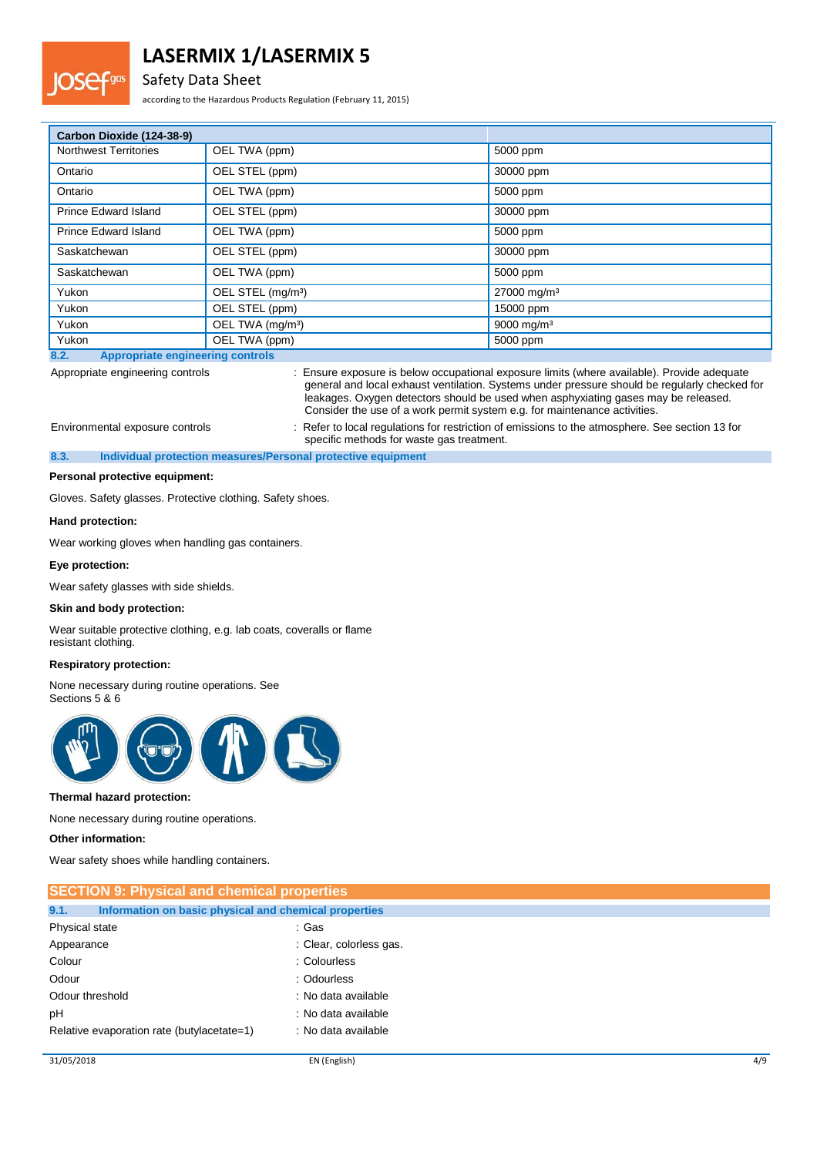### Safety Data Sheet

according to the Hazardous Products Regulation (February 11, 2015)

| Carbon Dioxide (124-38-9)                       |                               |                         |
|-------------------------------------------------|-------------------------------|-------------------------|
| <b>Northwest Territories</b>                    | OEL TWA (ppm)                 | 5000 ppm                |
| Ontario                                         | OEL STEL (ppm)                | 30000 ppm               |
| Ontario                                         | OEL TWA (ppm)                 | 5000 ppm                |
| Prince Edward Island                            | OEL STEL (ppm)                | 30000 ppm               |
| Prince Edward Island                            | OEL TWA (ppm)                 | 5000 ppm                |
| Saskatchewan                                    | OEL STEL (ppm)                | 30000 ppm               |
| Saskatchewan                                    | OEL TWA (ppm)                 | 5000 ppm                |
| Yukon                                           | OEL STEL (mg/m <sup>3</sup> ) | 27000 mg/m <sup>3</sup> |
| Yukon                                           | OEL STEL (ppm)                | 15000 ppm               |
| Yukon                                           | OEL TWA (mg/m <sup>3</sup> )  | 9000 mg/m <sup>3</sup>  |
| Yukon                                           | OEL TWA (ppm)                 | 5000 ppm                |
| <b>Appropriate engineering controls</b><br>8.2. |                               |                         |

Appropriate engineering controls : Ensure exposure is below occupational exposure limits (where available). Provide adequate general and local exhaust ventilation. Systems under pressure should be regularly checked for leakages. Oxygen detectors should be used when asphyxiating gases may be released. Consider the use of a work permit system e.g. for maintenance activities. Environmental exposure controls : Refer to local regulations for restriction of emissions to the atmosphere. See section 13 for

specific methods for waste gas treatment.

**8.3. Individual protection measures/Personal protective equipment**

#### **Personal protective equipment:**

Gloves. Safety glasses. Protective clothing. Safety shoes.

#### **Hand protection:**

Wear working gloves when handling gas containers.

#### **Eye protection:**

Wear safety glasses with side shields.

#### **Skin and body protection:**

Wear suitable protective clothing, e.g. lab coats, coveralls or flame resistant clothing.

### **Respiratory protection:**

None necessary during routine operations. See Sections 5 & 6



#### **Thermal hazard protection:**

None necessary during routine operations.

#### **Other information:**

Wear safety shoes while handling containers.

| <b>SECTION 9: Physical and chemical properties</b>            |                         |
|---------------------------------------------------------------|-------------------------|
| 9.1.<br>Information on basic physical and chemical properties |                         |
| Physical state                                                | : Gas                   |
| Appearance                                                    | : Clear, colorless gas. |
| Colour                                                        | : Colourless            |
| Odour                                                         | : Odourless             |
| Odour threshold                                               | : No data available     |
| pH                                                            | : No data available     |
| Relative evaporation rate (butylacetate=1)                    | : No data available     |
|                                                               |                         |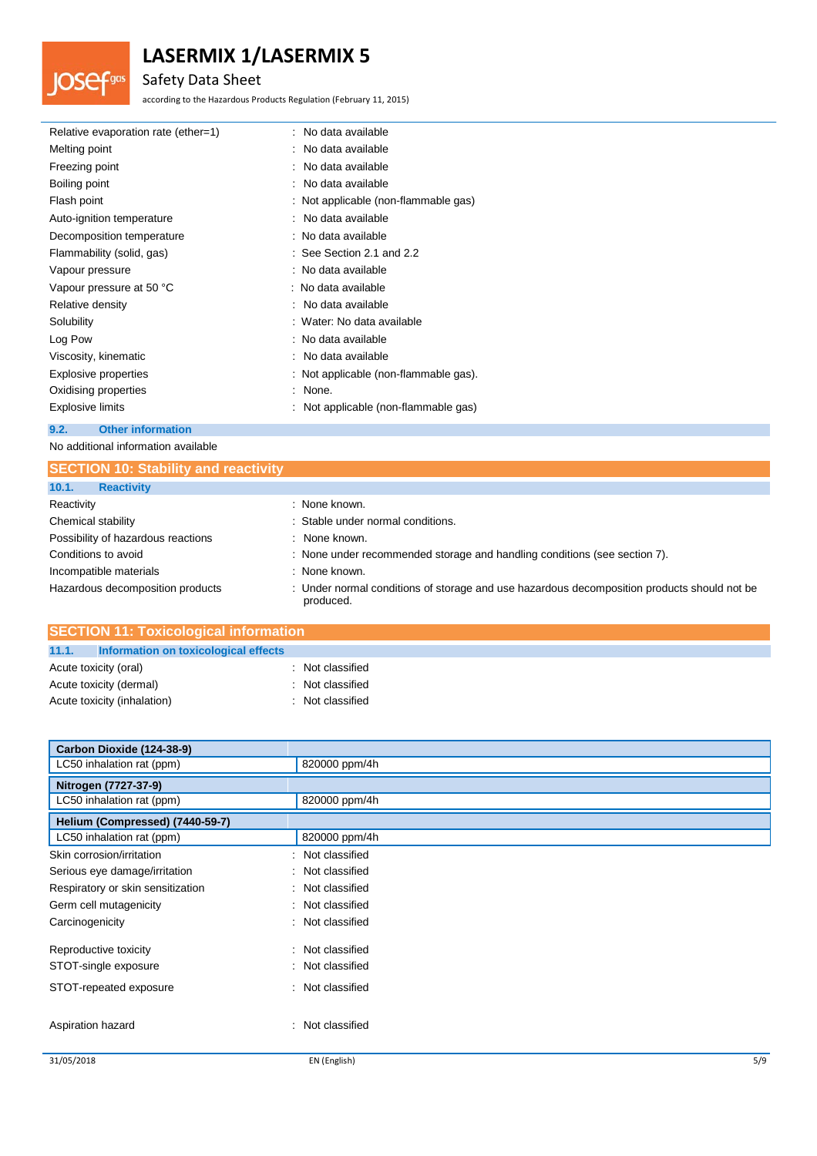## Safety Data Sheet

**JOSefgas** 

according to the Hazardous Products Regulation (February 11, 2015)

| Relative evaporation rate (ether=1) | : No data available                   |
|-------------------------------------|---------------------------------------|
| Melting point                       | : No data available                   |
| Freezing point                      | : No data available                   |
| Boiling point                       | : No data available                   |
| Flash point                         | : Not applicable (non-flammable gas)  |
| Auto-ignition temperature           | : No data available                   |
| Decomposition temperature           | : No data available                   |
| Flammability (solid, gas)           | $:$ See Section 2.1 and 2.2           |
| Vapour pressure                     | : No data available                   |
| Vapour pressure at 50 °C            | : No data available                   |
| Relative density                    | : No data available                   |
| Solubility                          | : Water: No data available            |
| Log Pow                             | : No data available                   |
| Viscosity, kinematic                | : No data available                   |
| Explosive properties                | : Not applicable (non-flammable gas). |
| Oxidising properties                | : None.                               |
| Explosive limits                    | : Not applicable (non-flammable gas)  |
| 9.2.<br><b>Other information</b>    |                                       |

No additional information available

| <b>SECTION 10: Stability and reactivity</b> |                                                                                                          |
|---------------------------------------------|----------------------------------------------------------------------------------------------------------|
| 10.1.<br><b>Reactivity</b>                  |                                                                                                          |
| Reactivity                                  | : None known.                                                                                            |
| Chemical stability                          | : Stable under normal conditions.                                                                        |
| Possibility of hazardous reactions          | : None known.                                                                                            |
| Conditions to avoid                         | : None under recommended storage and handling conditions (see section 7).                                |
| Incompatible materials                      | : None known.                                                                                            |
| Hazardous decomposition products            | : Under normal conditions of storage and use hazardous decomposition products should not be<br>produced. |

| <b>SECTION 11: Toxicological information</b>  |                  |  |
|-----------------------------------------------|------------------|--|
| 11.1.<br>Information on toxicological effects |                  |  |
| Acute toxicity (oral)                         | : Not classified |  |
| Acute toxicity (dermal)                       | : Not classified |  |
| Acute toxicity (inhalation)                   | : Not classified |  |

| Carbon Dioxide (124-38-9)         |                     |     |
|-----------------------------------|---------------------|-----|
| LC50 inhalation rat (ppm)         | 820000 ppm/4h       |     |
| Nitrogen (7727-37-9)              |                     |     |
| LC50 inhalation rat (ppm)         | 820000 ppm/4h       |     |
| Helium (Compressed) (7440-59-7)   |                     |     |
| LC50 inhalation rat (ppm)         | 820000 ppm/4h       |     |
| Skin corrosion/irritation         | : Not classified    |     |
| Serious eye damage/irritation     | Not classified      |     |
| Respiratory or skin sensitization | : Not classified    |     |
| Germ cell mutagenicity            | : Not classified    |     |
| Carcinogenicity                   | : Not classified    |     |
| Reproductive toxicity             | Not classified<br>÷ |     |
| STOT-single exposure              | Not classified<br>÷ |     |
| STOT-repeated exposure            | : Not classified    |     |
| Aspiration hazard                 | Not classified<br>÷ |     |
| 31/05/2018                        | EN (English)        | 5/9 |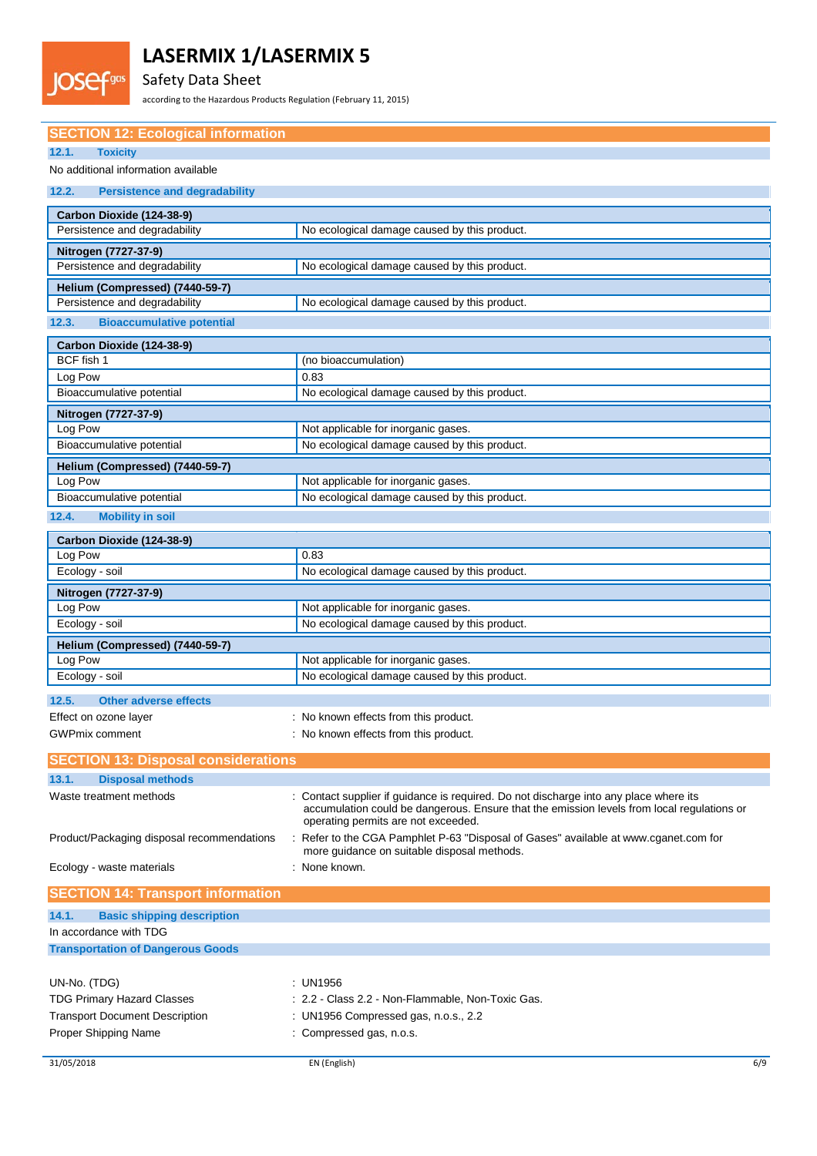## Safety Data Sheet

Fgas

according to the Hazardous Products Regulation (February 11, 2015)

| <b>SECTION 12: Ecological information</b>     |                                                                                                                                                                                                                            |
|-----------------------------------------------|----------------------------------------------------------------------------------------------------------------------------------------------------------------------------------------------------------------------------|
| 12.1.<br><b>Toxicity</b>                      |                                                                                                                                                                                                                            |
| No additional information available           |                                                                                                                                                                                                                            |
|                                               |                                                                                                                                                                                                                            |
| 12.2.<br><b>Persistence and degradability</b> |                                                                                                                                                                                                                            |
| Carbon Dioxide (124-38-9)                     |                                                                                                                                                                                                                            |
| Persistence and degradability                 | No ecological damage caused by this product.                                                                                                                                                                               |
| Nitrogen (7727-37-9)                          |                                                                                                                                                                                                                            |
| Persistence and degradability                 | No ecological damage caused by this product.                                                                                                                                                                               |
| Helium (Compressed) (7440-59-7)               |                                                                                                                                                                                                                            |
| Persistence and degradability                 | No ecological damage caused by this product.                                                                                                                                                                               |
| <b>Bioaccumulative potential</b><br>12.3.     |                                                                                                                                                                                                                            |
| Carbon Dioxide (124-38-9)                     |                                                                                                                                                                                                                            |
| BCF fish 1                                    | (no bioaccumulation)                                                                                                                                                                                                       |
| Log Pow                                       | 0.83                                                                                                                                                                                                                       |
| Bioaccumulative potential                     | No ecological damage caused by this product.                                                                                                                                                                               |
|                                               |                                                                                                                                                                                                                            |
| Nitrogen (7727-37-9)<br>Log Pow               | Not applicable for inorganic gases.                                                                                                                                                                                        |
| Bioaccumulative potential                     | No ecological damage caused by this product.                                                                                                                                                                               |
|                                               |                                                                                                                                                                                                                            |
| Helium (Compressed) (7440-59-7)<br>Log Pow    | Not applicable for inorganic gases.                                                                                                                                                                                        |
| Bioaccumulative potential                     | No ecological damage caused by this product.                                                                                                                                                                               |
| 12.4.                                         |                                                                                                                                                                                                                            |
| <b>Mobility in soil</b>                       |                                                                                                                                                                                                                            |
| Carbon Dioxide (124-38-9)                     |                                                                                                                                                                                                                            |
| Log Pow                                       | 0.83                                                                                                                                                                                                                       |
| Ecology - soil                                | No ecological damage caused by this product.                                                                                                                                                                               |
| Nitrogen (7727-37-9)                          |                                                                                                                                                                                                                            |
| Log Pow                                       | Not applicable for inorganic gases.                                                                                                                                                                                        |
| Ecology - soil                                | No ecological damage caused by this product.                                                                                                                                                                               |
| Helium (Compressed) (7440-59-7)               |                                                                                                                                                                                                                            |
| Log Pow                                       | Not applicable for inorganic gases.                                                                                                                                                                                        |
| Ecology - soil                                | No ecological damage caused by this product.                                                                                                                                                                               |
| 12.5.<br><b>Other adverse effects</b>         |                                                                                                                                                                                                                            |
| Effect on ozone layer                         | : No known effects from this product.                                                                                                                                                                                      |
| <b>GWPmix comment</b>                         | : No known effects from this product.                                                                                                                                                                                      |
|                                               |                                                                                                                                                                                                                            |
| <b>SECTION 13: Disposal considerations</b>    |                                                                                                                                                                                                                            |
| 13.1.<br><b>Disposal methods</b>              |                                                                                                                                                                                                                            |
| Waste treatment methods                       | : Contact supplier if guidance is required. Do not discharge into any place where its<br>accumulation could be dangerous. Ensure that the emission levels from local regulations or<br>operating permits are not exceeded. |
| Product/Packaging disposal recommendations    | : Refer to the CGA Pamphlet P-63 "Disposal of Gases" available at www.cganet.com for<br>more quidance on suitable disposal methods.                                                                                        |
| Ecology - waste materials                     | : None known.                                                                                                                                                                                                              |
| <b>SECTION 14: Transport information</b>      |                                                                                                                                                                                                                            |
| <b>Basic shipping description</b><br>14.1.    |                                                                                                                                                                                                                            |
| In accordance with TDG                        |                                                                                                                                                                                                                            |
| <b>Transportation of Dangerous Goods</b>      |                                                                                                                                                                                                                            |
|                                               |                                                                                                                                                                                                                            |
| UN-No. (TDG)                                  | : UN1956                                                                                                                                                                                                                   |
| <b>TDG Primary Hazard Classes</b>             | : 2.2 - Class 2.2 - Non-Flammable, Non-Toxic Gas.                                                                                                                                                                          |
| <b>Transport Document Description</b>         | : UN1956 Compressed gas, n.o.s., 2.2                                                                                                                                                                                       |

Proper Shipping Name : Compressed gas, n.o.s.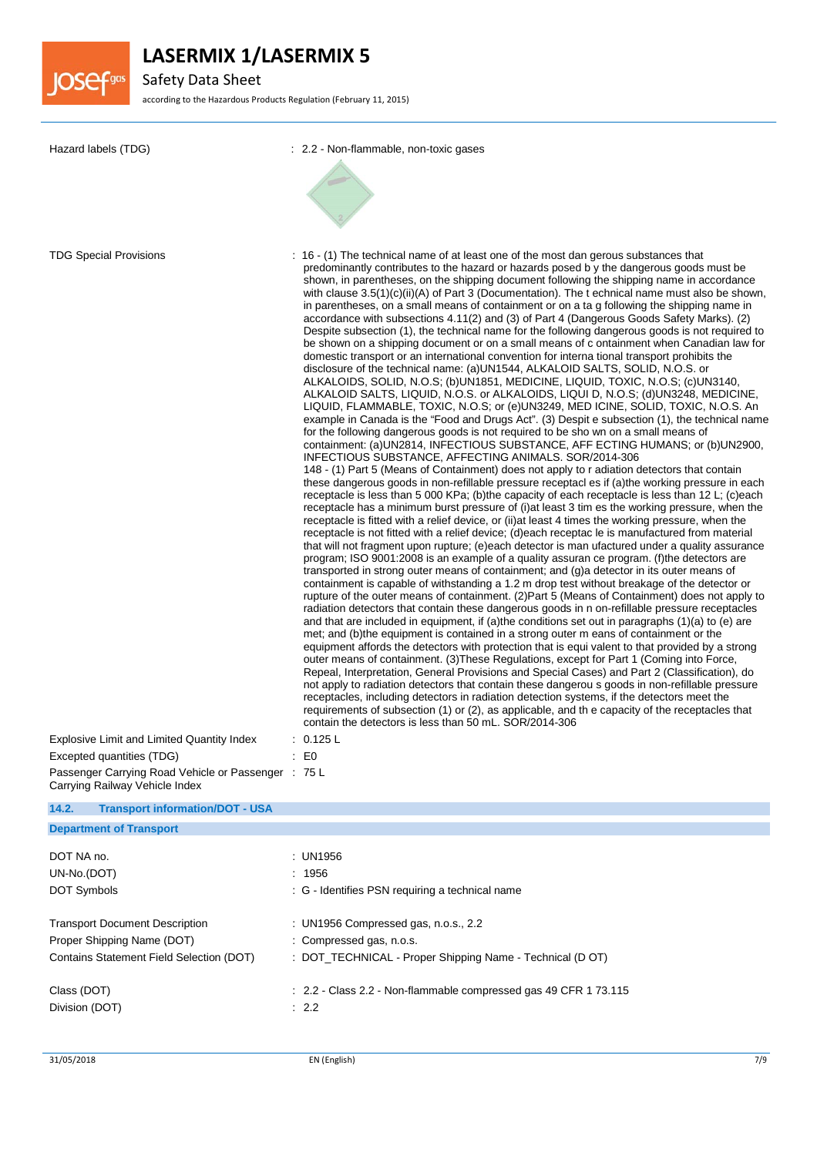

Safety Data Sheet

according to the Hazardous Products Regulation (February 11, 2015)

| Hazard labels (TDG)                                                                                             | : 2.2 - Non-flammable, non-toxic gases                                                                                                                                                                                                                                                                                                                                                                                                                                                                                                                                                                                                                                                                                                                                                                                                                                                                                                                                                                                                                                                                                                                                                                                                                                                                                                                                                                                                                                                                                                                                                                                                                                                                                                                                                                                                                                                                                                                                                                                                                                                                                                                                                                                                                                                                                                                                                                                                                                                                                                                                                                                                                                                                                                                                                                                                                                                                                                                                                                                                                                                                                                                                                                                                                                                                                                                                                                                                                                                                                                                                                                                                                                            |  |  |
|-----------------------------------------------------------------------------------------------------------------|-----------------------------------------------------------------------------------------------------------------------------------------------------------------------------------------------------------------------------------------------------------------------------------------------------------------------------------------------------------------------------------------------------------------------------------------------------------------------------------------------------------------------------------------------------------------------------------------------------------------------------------------------------------------------------------------------------------------------------------------------------------------------------------------------------------------------------------------------------------------------------------------------------------------------------------------------------------------------------------------------------------------------------------------------------------------------------------------------------------------------------------------------------------------------------------------------------------------------------------------------------------------------------------------------------------------------------------------------------------------------------------------------------------------------------------------------------------------------------------------------------------------------------------------------------------------------------------------------------------------------------------------------------------------------------------------------------------------------------------------------------------------------------------------------------------------------------------------------------------------------------------------------------------------------------------------------------------------------------------------------------------------------------------------------------------------------------------------------------------------------------------------------------------------------------------------------------------------------------------------------------------------------------------------------------------------------------------------------------------------------------------------------------------------------------------------------------------------------------------------------------------------------------------------------------------------------------------------------------------------------------------------------------------------------------------------------------------------------------------------------------------------------------------------------------------------------------------------------------------------------------------------------------------------------------------------------------------------------------------------------------------------------------------------------------------------------------------------------------------------------------------------------------------------------------------------------------------------------------------------------------------------------------------------------------------------------------------------------------------------------------------------------------------------------------------------------------------------------------------------------------------------------------------------------------------------------------------------------------------------------------------------------------------------------------------|--|--|
|                                                                                                                 |                                                                                                                                                                                                                                                                                                                                                                                                                                                                                                                                                                                                                                                                                                                                                                                                                                                                                                                                                                                                                                                                                                                                                                                                                                                                                                                                                                                                                                                                                                                                                                                                                                                                                                                                                                                                                                                                                                                                                                                                                                                                                                                                                                                                                                                                                                                                                                                                                                                                                                                                                                                                                                                                                                                                                                                                                                                                                                                                                                                                                                                                                                                                                                                                                                                                                                                                                                                                                                                                                                                                                                                                                                                                                   |  |  |
| <b>TDG Special Provisions</b><br>Explosive Limit and Limited Quantity Index<br>Excepted quantities (TDG)        | : 16 - (1) The technical name of at least one of the most dan gerous substances that<br>predominantly contributes to the hazard or hazards posed by the dangerous goods must be<br>shown, in parentheses, on the shipping document following the shipping name in accordance<br>with clause $3.5(1)(c)(ii)(A)$ of Part 3 (Documentation). The t echnical name must also be shown,<br>in parentheses, on a small means of containment or on a ta g following the shipping name in<br>accordance with subsections 4.11(2) and (3) of Part 4 (Dangerous Goods Safety Marks). (2)<br>Despite subsection (1), the technical name for the following dangerous goods is not required to<br>be shown on a shipping document or on a small means of c ontainment when Canadian law for<br>domestic transport or an international convention for interna tional transport prohibits the<br>disclosure of the technical name: (a)UN1544, ALKALOID SALTS, SOLID, N.O.S. or<br>ALKALOIDS, SOLID, N.O.S; (b)UN1851, MEDICINE, LIQUID, TOXIC, N.O.S; (c)UN3140,<br>ALKALOID SALTS, LIQUID, N.O.S. or ALKALOIDS, LIQUI D, N.O.S; (d)UN3248, MEDICINE,<br>LIQUID, FLAMMABLE, TOXIC, N.O.S; or (e)UN3249, MED ICINE, SOLID, TOXIC, N.O.S. An<br>example in Canada is the "Food and Drugs Act". (3) Despit e subsection (1), the technical name<br>for the following dangerous goods is not required to be sho wn on a small means of<br>containment: (a)UN2814, INFECTIOUS SUBSTANCE, AFF ECTING HUMANS; or (b)UN2900,<br>INFECTIOUS SUBSTANCE, AFFECTING ANIMALS. SOR/2014-306<br>148 - (1) Part 5 (Means of Containment) does not apply to r adiation detectors that contain<br>these dangerous goods in non-refillable pressure receptacl es if (a)the working pressure in each<br>receptacle is less than 5 000 KPa; (b) the capacity of each receptacle is less than 12 L; (c) each<br>receptacle has a minimum burst pressure of (i) at least 3 tim es the working pressure, when the<br>receptacle is fitted with a relief device, or (ii) at least 4 times the working pressure, when the<br>receptacle is not fitted with a relief device; (d)each receptac le is manufactured from material<br>that will not fragment upon rupture; (e)each detector is man ufactured under a quality assurance<br>program; ISO 9001:2008 is an example of a quality assuran ce program. (f) the detectors are<br>transported in strong outer means of containment; and (g)a detector in its outer means of<br>containment is capable of withstanding a 1.2 m drop test without breakage of the detector or<br>rupture of the outer means of containment. (2) Part 5 (Means of Containment) does not apply to<br>radiation detectors that contain these dangerous goods in n on-refillable pressure receptacles<br>and that are included in equipment, if (a)the conditions set out in paragraphs (1)(a) to (e) are<br>met; and (b)the equipment is contained in a strong outer m eans of containment or the<br>equipment affords the detectors with protection that is equi valent to that provided by a strong<br>outer means of containment. (3) These Regulations, except for Part 1 (Coming into Force,<br>Repeal, Interpretation, General Provisions and Special Cases) and Part 2 (Classification), do<br>not apply to radiation detectors that contain these dangerou s goods in non-refillable pressure<br>receptacles, including detectors in radiation detection systems, if the detectors meet the<br>requirements of subsection (1) or (2), as applicable, and the capacity of the receptacles that<br>contain the detectors is less than 50 mL. SOR/2014-306<br>: 0.125 L<br>E <sub>0</sub> |  |  |
| Passenger Carrying Road Vehicle or Passenger : 75 L                                                             |                                                                                                                                                                                                                                                                                                                                                                                                                                                                                                                                                                                                                                                                                                                                                                                                                                                                                                                                                                                                                                                                                                                                                                                                                                                                                                                                                                                                                                                                                                                                                                                                                                                                                                                                                                                                                                                                                                                                                                                                                                                                                                                                                                                                                                                                                                                                                                                                                                                                                                                                                                                                                                                                                                                                                                                                                                                                                                                                                                                                                                                                                                                                                                                                                                                                                                                                                                                                                                                                                                                                                                                                                                                                                   |  |  |
| Carrying Railway Vehicle Index                                                                                  |                                                                                                                                                                                                                                                                                                                                                                                                                                                                                                                                                                                                                                                                                                                                                                                                                                                                                                                                                                                                                                                                                                                                                                                                                                                                                                                                                                                                                                                                                                                                                                                                                                                                                                                                                                                                                                                                                                                                                                                                                                                                                                                                                                                                                                                                                                                                                                                                                                                                                                                                                                                                                                                                                                                                                                                                                                                                                                                                                                                                                                                                                                                                                                                                                                                                                                                                                                                                                                                                                                                                                                                                                                                                                   |  |  |
| 14.2.<br><b>Transport information/DOT - USA</b><br><b>Department of Transport</b>                               |                                                                                                                                                                                                                                                                                                                                                                                                                                                                                                                                                                                                                                                                                                                                                                                                                                                                                                                                                                                                                                                                                                                                                                                                                                                                                                                                                                                                                                                                                                                                                                                                                                                                                                                                                                                                                                                                                                                                                                                                                                                                                                                                                                                                                                                                                                                                                                                                                                                                                                                                                                                                                                                                                                                                                                                                                                                                                                                                                                                                                                                                                                                                                                                                                                                                                                                                                                                                                                                                                                                                                                                                                                                                                   |  |  |
|                                                                                                                 |                                                                                                                                                                                                                                                                                                                                                                                                                                                                                                                                                                                                                                                                                                                                                                                                                                                                                                                                                                                                                                                                                                                                                                                                                                                                                                                                                                                                                                                                                                                                                                                                                                                                                                                                                                                                                                                                                                                                                                                                                                                                                                                                                                                                                                                                                                                                                                                                                                                                                                                                                                                                                                                                                                                                                                                                                                                                                                                                                                                                                                                                                                                                                                                                                                                                                                                                                                                                                                                                                                                                                                                                                                                                                   |  |  |
| DOT NA no.<br>UN-No.(DOT)<br><b>DOT Symbols</b>                                                                 | <b>UN1956</b><br>1956<br>: G - Identifies PSN requiring a technical name                                                                                                                                                                                                                                                                                                                                                                                                                                                                                                                                                                                                                                                                                                                                                                                                                                                                                                                                                                                                                                                                                                                                                                                                                                                                                                                                                                                                                                                                                                                                                                                                                                                                                                                                                                                                                                                                                                                                                                                                                                                                                                                                                                                                                                                                                                                                                                                                                                                                                                                                                                                                                                                                                                                                                                                                                                                                                                                                                                                                                                                                                                                                                                                                                                                                                                                                                                                                                                                                                                                                                                                                          |  |  |
| <b>Transport Document Description</b><br>Proper Shipping Name (DOT)<br>Contains Statement Field Selection (DOT) | : UN1956 Compressed gas, n.o.s., 2.2<br>: Compressed gas, n.o.s.<br>: DOT_TECHNICAL - Proper Shipping Name - Technical (D OT)                                                                                                                                                                                                                                                                                                                                                                                                                                                                                                                                                                                                                                                                                                                                                                                                                                                                                                                                                                                                                                                                                                                                                                                                                                                                                                                                                                                                                                                                                                                                                                                                                                                                                                                                                                                                                                                                                                                                                                                                                                                                                                                                                                                                                                                                                                                                                                                                                                                                                                                                                                                                                                                                                                                                                                                                                                                                                                                                                                                                                                                                                                                                                                                                                                                                                                                                                                                                                                                                                                                                                     |  |  |
| Class (DOT)<br>Division (DOT)                                                                                   | : 2.2 - Class 2.2 - Non-flammable compressed gas 49 CFR 1 73.115<br>: 2.2                                                                                                                                                                                                                                                                                                                                                                                                                                                                                                                                                                                                                                                                                                                                                                                                                                                                                                                                                                                                                                                                                                                                                                                                                                                                                                                                                                                                                                                                                                                                                                                                                                                                                                                                                                                                                                                                                                                                                                                                                                                                                                                                                                                                                                                                                                                                                                                                                                                                                                                                                                                                                                                                                                                                                                                                                                                                                                                                                                                                                                                                                                                                                                                                                                                                                                                                                                                                                                                                                                                                                                                                         |  |  |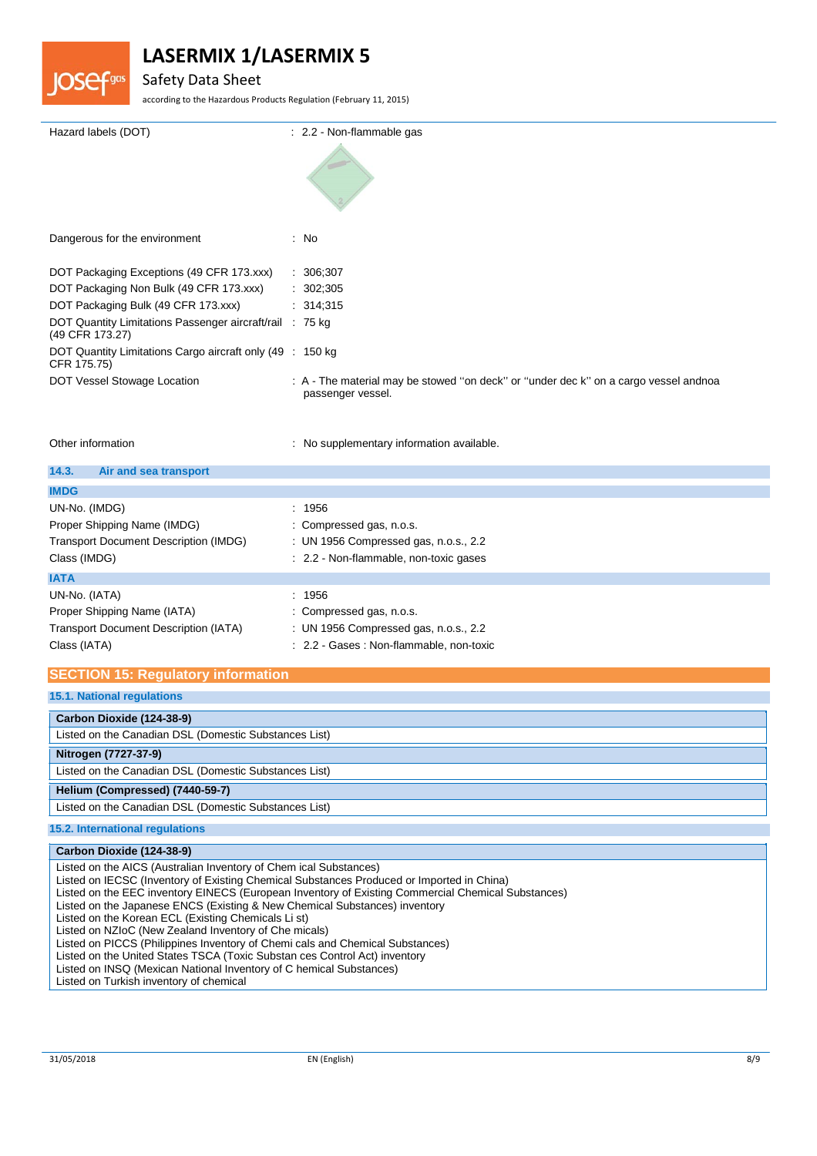

### Safety Data Sheet

according to the Hazardous Products Regulation (February 11, 2015)

| Hazard labels (DOT)                                                         | : 2.2 - Non-flammable gas                                                                                 |
|-----------------------------------------------------------------------------|-----------------------------------------------------------------------------------------------------------|
|                                                                             |                                                                                                           |
|                                                                             |                                                                                                           |
| Dangerous for the environment                                               | : No                                                                                                      |
|                                                                             |                                                                                                           |
| DOT Packaging Exceptions (49 CFR 173.xxx)                                   | : 306,307                                                                                                 |
| DOT Packaging Non Bulk (49 CFR 173.xxx)                                     | : 302,305                                                                                                 |
| DOT Packaging Bulk (49 CFR 173.xxx)                                         | : 314,315                                                                                                 |
| DOT Quantity Limitations Passenger aircraft/rail : 75 kg<br>(49 CFR 173.27) |                                                                                                           |
| DOT Quantity Limitations Cargo aircraft only (49 : 150 kg)<br>CFR 175.75)   |                                                                                                           |
| DOT Vessel Stowage Location                                                 | : A - The material may be stowed "on deck" or "under dec k" on a cargo vessel andnoa<br>passenger vessel. |
|                                                                             |                                                                                                           |

Other information **contracts** : No supplementary information available.

| 14.3.<br>Air and sea transport                                                                               |                                                                                                                         |
|--------------------------------------------------------------------------------------------------------------|-------------------------------------------------------------------------------------------------------------------------|
| <b>IMDG</b>                                                                                                  |                                                                                                                         |
| UN-No. (IMDG)<br>Proper Shipping Name (IMDG)<br><b>Transport Document Description (IMDG)</b><br>Class (IMDG) | : 1956<br>: Compressed gas, n.o.s.<br>: UN 1956 Compressed gas, n.o.s., 2.2<br>: 2.2 - Non-flammable, non-toxic gases   |
| <b>IATA</b>                                                                                                  |                                                                                                                         |
| UN-No. (IATA)<br>Proper Shipping Name (IATA)<br><b>Transport Document Description (IATA)</b><br>Class (IATA) | : 1956<br>: Compressed gas, n.o.s.<br>: UN 1956 Compressed gas, n.o.s., 2.2<br>: 2.2 - Gases : Non-flammable, non-toxic |

### **SECTION 15: Regulatory information**

**15.1. National regulations**

| Carbon Dioxide (124-38-9)                             |
|-------------------------------------------------------|
| Listed on the Canadian DSL (Domestic Substances List) |
| Nitrogen (7727-37-9)                                  |
| Listed on the Canadian DSL (Domestic Substances List) |
| Helium (Compressed) (7440-59-7)                       |
| Listed on the Canadian DSL (Domestic Substances List) |
| 15.2. International regulations                       |

| Carbon Dioxide (124-38-9)                                                                          |
|----------------------------------------------------------------------------------------------------|
| Listed on the AICS (Australian Inventory of Chem ical Substances)                                  |
| Listed on IECSC (Inventory of Existing Chemical Substances Produced or Imported in China)          |
| Listed on the EEC inventory EINECS (European Inventory of Existing Commercial Chemical Substances) |
| Listed on the Japanese ENCS (Existing & New Chemical Substances) inventory                         |
| Listed on the Korean ECL (Existing Chemicals Li st)                                                |
| Listed on NZIoC (New Zealand Inventory of Che micals)                                              |
| Listed on PICCS (Philippines Inventory of Chemi cals and Chemical Substances)                      |
| Listed on the United States TSCA (Toxic Substan ces Control Act) inventory                         |
| Listed on INSQ (Mexican National Inventory of C hemical Substances)                                |
| Listed on Turkish inventory of chemical                                                            |